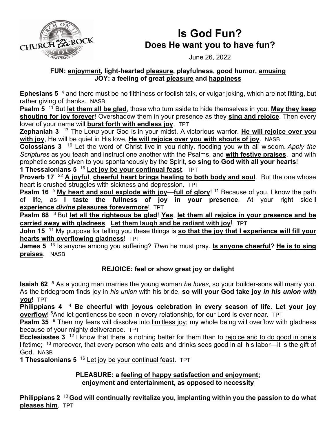

# **Is God Fun? Does He want you to have fun?**

June 26, 2022

#### **FUN: enjoyment, light-hearted pleasure, playfulness, good humor, amusing JOY: a feeling of great pleasure and happiness**

**Ephesians 5**<sup>4</sup> and there must be no filthiness or foolish talk, or vulgar joking, which are not fitting, but rather giving of thanks. NASB

**Psalm 5**<sup>11</sup> But let them all be glad, those who turn aside to hide themselves in you. May they keep **shouting for joy forever**! Overshadow them in your presence as they **sing and rejoice**. Then every lover of your name will **burst forth with endless joy**. TPT

**Zephaniah 3** 17 The LORD your God is in your midst, A victorious warrior. **He will rejoice over you with joy**, He will be quiet in His love, **He will rejoice over you with shouts of joy**. NASB

**Colossians 3** 16 Let the word of Christ live in you richly, flooding you with all wisdom. *Apply the Scriptures* as you teach and instruct one another with the Psalms, and **with festive praises**, and with prophetic songs given to you spontaneously by the Spirit, **so sing to God with all your hearts**!

**1 Thessalonians 5** 16 **Let joy be your continual feast**. TPT

**Proverb 17** <sup>22</sup> A joyful, *cheerful heart brings healing to both body and soul*. But the one whose heart is crushed struggles with sickness and depression. TPT

**Psalm 16** <sup>9</sup> My heart and soul explode with joy—full of glory! <sup>11</sup> Because of you, I know the path of life, as **I taste the fullness of joy in your presence**. At your right side **I experience** *divine* **pleasures forevermore**! TPT

**Psalm 68** 3 But **let all the righteous be glad**! **Yes**, **let them all rejoice in your presence and be carried away with gladness**. **Let them laugh and be radiant with joy**! TPT

**John 15** 11 My purpose for telling you these things is **so that the joy that I experience will fill your hearts with overflowing gladness**! TPT

**James 5** 13 Is anyone among you suffering? *Then* he must pray. **Is anyone cheerful**? **He is to sing praises**. NASB

## **REJOICE: feel or show great joy or delight**

**Isaiah 62** 5 As a young man marries the young woman *he loves*, so your builder-sons will marry you. As the bridegroom finds joy in *his union* with his bride, **so will your God take joy** *in his union with you*! TPT

**Philippians 4** 4 **Be cheerful with joyous celebration in every season of life**. **Let your joy overflow!** <sup>5</sup>And let gentleness be seen in every relationship, for our Lord is ever near. TPT

**Psalm 35** <sup>9</sup> Then my fears will dissolve into limitless joy; my whole being will overflow with gladness because of your mighty deliverance. TPT

**Ecclesiastes 3**<sup>12</sup> I know that there is nothing better for them than to rejoice and to do good in one's lifetime; <sup>13</sup> moreover, that every person who eats and drinks sees good in all his labor—it is the gift of God. NASB

**1 Thessalonians 5** <sup>16</sup> Let joy be your continual feast. TPT

**PLEASURE: a feeling of happy satisfaction and enjoyment; enjoyment and entertainment, as opposed to necessity**

**Philippians 2** 13 **God will continually revitalize you**, **implanting within you the passion to do what pleases him**. TPT